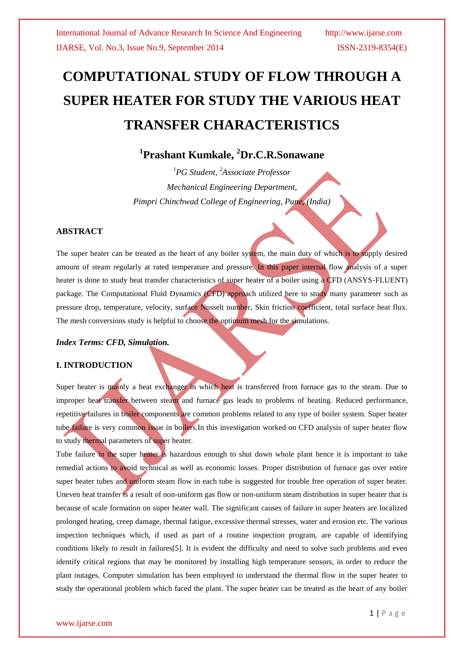# **COMPUTATIONAL STUDY OF FLOW THROUGH A SUPER HEATER FOR STUDY THE VARIOUS HEAT TRANSFER CHARACTERISTICS**

## **1 Prashant Kumkale, <sup>2</sup>Dr.C.R.Sonawane**

*<sup>1</sup>PG Student, <sup>2</sup>Associate Professor Mechanical Engineering Department, Pimpri Chinchwad College of Engineering, Pune, (India)*

### **ABSTRACT**

The super heater can be treated as the heart of any boiler system, the main duty of which is to supply desired amount of steam regularly at rated temperature and pressure. In this paper internal flow analysis of a super heater is done to study heat transfer characteristics of super heater of a boiler using a CFD (ANSYS-FLUENT) package. The Computational Fluid Dynamics (CFD) approach utilized here to study many parameter such as pressure drop, temperature, velocity, surface Nusselt number, Skin friction coefficient, total surface heat flux. The mesh conversions study is helpful to choose the optimum mesh for the simulations.

#### *Index Terms: CFD, Simulation.*

#### **I. INTRODUCTION**

Super heater is mainly a heat exchanger in which heat is transferred from furnace gas to the steam. Due to improper heat transfer between steam and furnace gas leads to problems of heating. Reduced performance, repetitive failures in boiler components are common problems related to any type of boiler system. Super heater tube failure is very common issue in boilers. In this investigation worked on CFD analysis of super heater flow to study thermal parameters of super heater.

Tube failure in the super heater is hazardous enough to shut down whole plant hence it is important to take remedial actions to avoid technical as well as economic losses. Proper distribution of furnace gas over entire super heater tubes and uniform steam flow in each tube is suggested for trouble free operation of super heater. Uneven heat transfer is a result of non-uniform gas flow or non-uniform steam distribution in super heater that is because of scale formation on super heater wall. The significant causes of failure in super heaters are localized prolonged heating, creep damage, thermal fatigue, excessive thermal stresses, water and erosion etc. The various inspection techniques which, if used as part of a routine inspection program, are capable of identifying conditions likely to result in failures[5]. It is evident the difficulty and need to solve such problems and even identify critical regions that may be monitored by installing high temperature sensors, in order to reduce the plant outages. Computer simulation has been employed to understand the thermal flow in the super heater to study the operational problem which faced the plant. The super heater can be treated as the heart of any boiler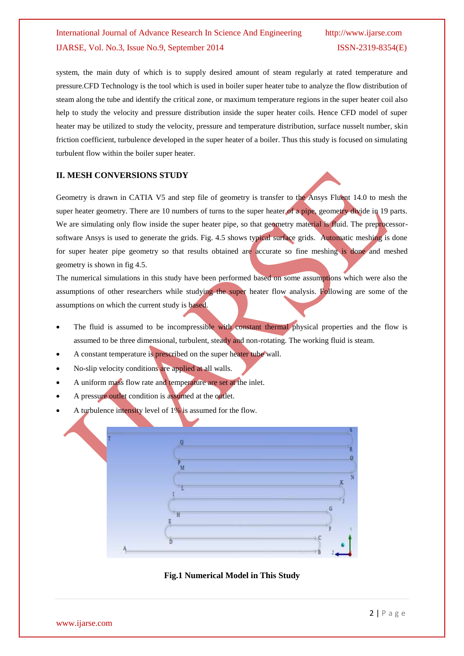system, the main duty of which is to supply desired amount of steam regularly at rated temperature and pressure.CFD Technology is the tool which is used in boiler super heater tube to analyze the flow distribution of steam along the tube and identify the critical zone, or maximum temperature regions in the super heater coil also help to study the velocity and pressure distribution inside the super heater coils. Hence CFD model of super heater may be utilized to study the velocity, pressure and temperature distribution, surface nusselt number, skin friction coefficient, turbulence developed in the super heater of a boiler. Thus this study is focused on simulating turbulent flow within the boiler super heater.

#### **II. MESH CONVERSIONS STUDY**

Geometry is drawn in CATIA V5 and step file of geometry is transfer to the Ansys Fluent 14.0 to mesh the super heater geometry. There are 10 numbers of turns to the super heater of a pipe, geometry divide in 19 parts. We are simulating only flow inside the super heater pipe, so that geometry material is fluid. The preprocessorsoftware Ansys is used to generate the grids. Fig. 4.5 shows typical surface grids. Automatic meshing is done for super heater pipe geometry so that results obtained are accurate so fine meshing is done and meshed geometry is shown in fig 4.5.

The numerical simulations in this study have been performed based on some assumptions which were also the assumptions of other researchers while studying the super heater flow analysis. Following are some of the assumptions on which the current study is based.

- The fluid is assumed to be incompressible with constant thermal physical properties and the flow is assumed to be three dimensional, turbulent, steady and non-rotating. The working fluid is steam.
- A constant temperature is prescribed on the super heater tube wall.
- No-slip velocity conditions are applied at all walls.
- A uniform mass flow rate and temperature are set at the inlet.
- A pressure outlet condition is assumed at the outlet.
- A turbulence intensity level of 1% is assumed for the flow.



**Fig.1 Numerical Model in This Study**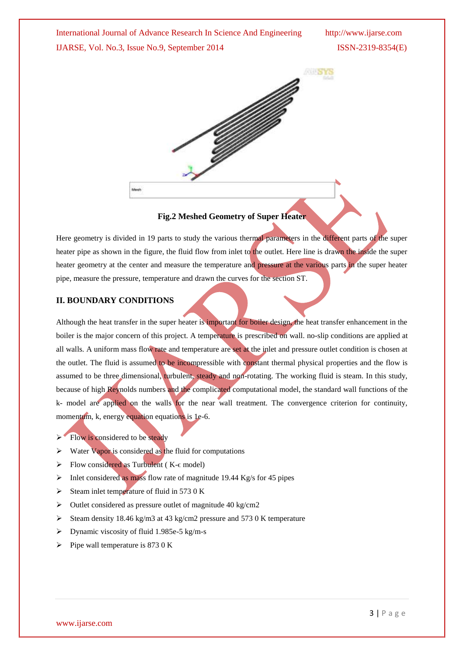

#### **Fig.2 Meshed Geometry of Super Heater**

Here geometry is divided in 19 parts to study the various thermal parameters in the different parts of the super heater pipe as shown in the figure, the fluid flow from inlet to the outlet. Here line is drawn the inside the super heater geometry at the center and measure the temperature and pressure at the various parts in the super heater pipe, measure the pressure, temperature and drawn the curves for the section ST.

#### **II. BOUNDARY CONDITIONS**

Although the heat transfer in the super heater is important for boiler design, the heat transfer enhancement in the boiler is the major concern of this project. A temperature is prescribed on wall. no-slip conditions are applied at all walls. A uniform mass flow rate and temperature are set at the inlet and pressure outlet condition is chosen at the outlet. The fluid is assumed to be incompressible with constant thermal physical properties and the flow is assumed to be three dimensional, turbulent, steady and non-rotating. The working fluid is steam. In this study, because of high Reynolds numbers and the complicated computational model, the standard wall functions of the k- model are applied on the walls for the near wall treatment. The convergence criterion for continuity, momentum, k, energy equation equations is 1e-6.

- $\triangleright$  Flow is considered to be steady
- $\triangleright$  Water Vapor is considered as the fluid for computations
- $\triangleright$  Flow considered as Turbulent (K- $\epsilon$  model)
- $\triangleright$  Inlet considered as mass flow rate of magnitude 19.44 Kg/s for 45 pipes
- Steam inlet temperature of fluid in 573 0 K
- $\triangleright$  Outlet considered as pressure outlet of magnitude 40 kg/cm2
- Steam density 18.46 kg/m3 at 43 kg/cm2 pressure and 573 0 K temperature
- $\triangleright$  Dynamic viscosity of fluid 1.985e-5 kg/m-s
- $\triangleright$  Pipe wall temperature is 873 0 K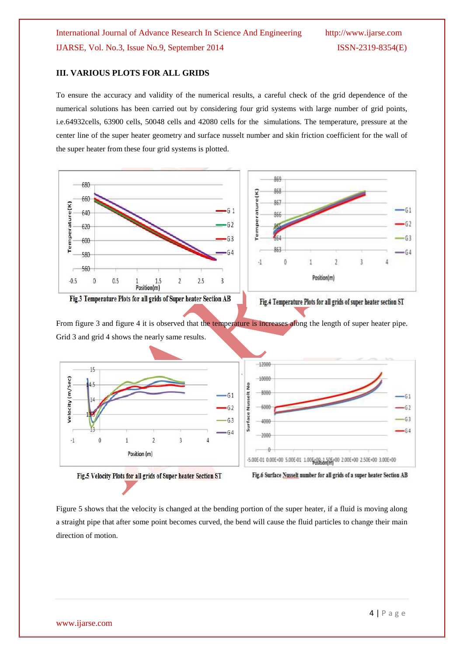#### **III. VARIOUS PLOTS FOR ALL GRIDS**

To ensure the accuracy and validity of the numerical results, a careful check of the grid dependence of the numerical solutions has been carried out by considering four grid systems with large number of grid points, i.e.64932cells, 63900 cells, 50048 cells and 42080 cells for the simulations. The temperature, pressure at the center line of the super heater geometry and surface nusselt number and skin friction coefficient for the wall of the super heater from these four grid systems is plotted.



Fig.3 Temperature Plots for all grids of Super heater Section AB



From figure 3 and figure 4 it is observed that the temperature is increases along the length of super heater pipe. Grid 3 and grid 4 shows the nearly same results.



Fig.5 Velocity Plots for all grids of Super heater Section ST

Fig.6 Surface Nusselt number for all grids of a super heater Section AB

Figure 5 shows that the velocity is changed at the bending portion of the super heater, if a fluid is moving along a straight pipe that after some point becomes curved, the bend will cause the fluid particles to change their main direction of motion.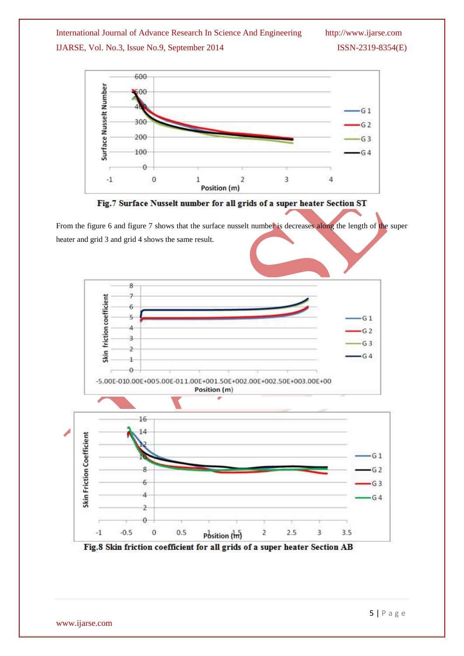

Fig.7 Surface Nusselt number for all grids of a super heater Section ST

From the figure 6 and figure 7 shows that the surface nusselt number is decreases along the length of the super heater and grid 3 and grid 4 shows the same result.



Fig.8 Skin friction coefficient for all grids of a super heater Section AB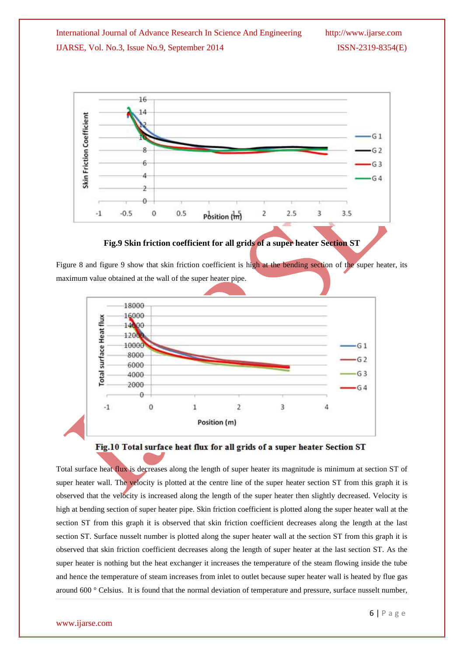

#### **Fig.9 Skin friction coefficient for all grids of a super heater Section ST**

Figure 8 and figure 9 show that skin friction coefficient is high at the bending section of the super heater, its maximum value obtained at the wall of the super heater pipe.





Total surface heat flux is decreases along the length of super heater its magnitude is minimum at section ST of super heater wall. The velocity is plotted at the centre line of the super heater section ST from this graph it is observed that the velocity is increased along the length of the super heater then slightly decreased. Velocity is high at bending section of super heater pipe. Skin friction coefficient is plotted along the super heater wall at the section ST from this graph it is observed that skin friction coefficient decreases along the length at the last section ST. Surface nusselt number is plotted along the super heater wall at the section ST from this graph it is observed that skin friction coefficient decreases along the length of super heater at the last section ST. As the super heater is nothing but the heat exchanger it increases the temperature of the steam flowing inside the tube and hence the temperature of steam increases from inlet to outlet because super heater wall is heated by flue gas around 600 ° Celsius. It is found that the normal deviation of temperature and pressure, surface nusselt number,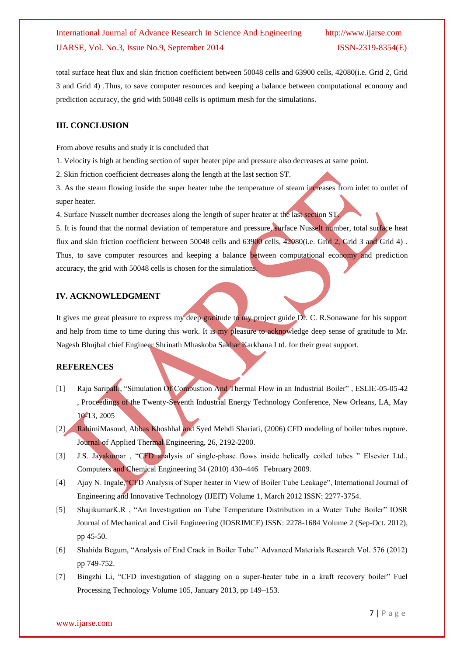total surface heat flux and skin friction coefficient between 50048 cells and 63900 cells, 42080(i.e. Grid 2, Grid 3 and Grid 4) .Thus, to save computer resources and keeping a balance between computational economy and prediction accuracy, the grid with 50048 cells is optimum mesh for the simulations.

#### **III. CONCLUSION**

From above results and study it is concluded that

1. Velocity is high at bending section of super heater pipe and pressure also decreases at same point.

2. Skin friction coefficient decreases along the length at the last section ST.

3. As the steam flowing inside the super heater tube the temperature of steam increases from inlet to outlet of super heater.

4. Surface Nusselt number decreases along the length of super heater at the last section ST.

5. It is found that the normal deviation of temperature and pressure, surface Nusselt number, total surface heat flux and skin friction coefficient between 50048 cells and 63900 cells, 42080(i.e. Grid 2, Grid 3 and Grid 4). Thus, to save computer resources and keeping a balance between computational economy and prediction accuracy, the grid with 50048 cells is chosen for the simulations.

#### **IV. ACKNOWLEDGMENT**

It gives me great pleasure to express my deep gratitude to my project guide Dr. C. R.Sonawane for his support and help from time to time during this work. It is my pleasure to acknowledge deep sense of gratitude to Mr. Nagesh Bhujbal chief Engineer Shrinath Mhaskoba Sakhar Karkhana Ltd. for their great support.

#### **REFERENCES**

- [1] Raja Saripalli, "Simulation Of Combustion And Thermal Flow in an Industrial Boiler" , ESLIE-05-05-42 , Proceedings of the Twenty-Seventh Industrial Energy Technology Conference, New Orleans, LA, May 10-13, 2005
- [2] RahimiMasoud, Abbas Khoshhal and Syed Mehdi Shariati, (2006) CFD modeling of boiler tubes rupture. Journal of Applied Thermal Engineering, 26, 2192-2200.
- [3] J.S. Jayakumar , "CFD analysis of single-phase flows inside helically coiled tubes " Elsevier Ltd., Computers and Chemical Engineering 34 (2010) 430–446 February 2009.
- [4] Ajay N. Ingale,"CFD Analysis of Super heater in View of Boiler Tube Leakage", International Journal of Engineering and Innovative Technology (IJEIT) Volume 1, March 2012 ISSN: 2277-3754.
- [5] ShajikumarK.R , "An Investigation on Tube Temperature Distribution in a Water Tube Boiler" IOSR Journal of Mechanical and Civil Engineering (IOSRJMCE) ISSN: 2278-1684 Volume 2 (Sep-Oct. 2012), pp 45-50.
- [6] Shahida Begum, "Analysis of End Crack in Boiler Tube'' Advanced Materials Research Vol. 576 (2012) pp 749-752.
- [7] Bingzhi Li, "CFD investigation of slagging on a super-heater tube in a kraft recovery boiler" Fuel Processing Technology Volume 105, January 2013, pp 149–153.